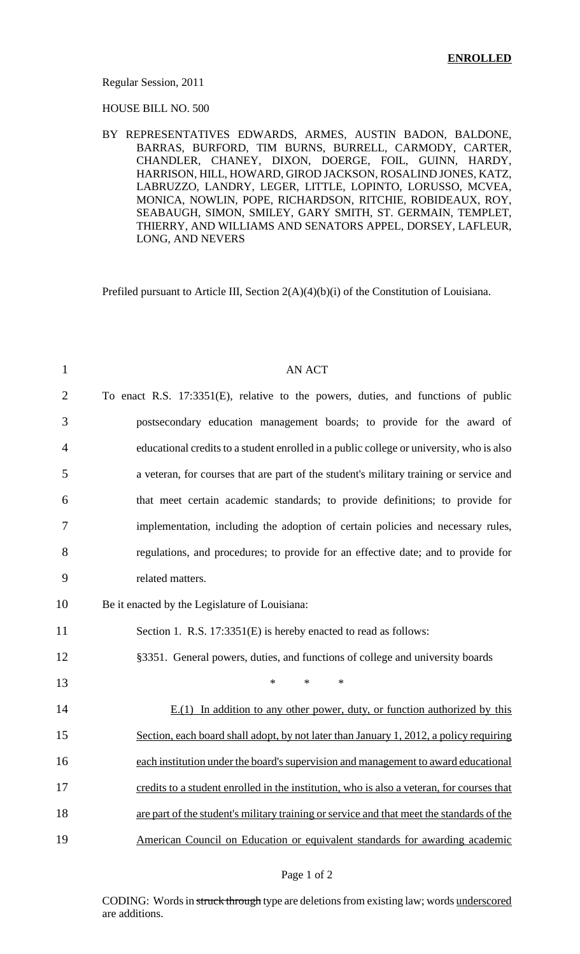#### Regular Session, 2011

HOUSE BILL NO. 500

BY REPRESENTATIVES EDWARDS, ARMES, AUSTIN BADON, BALDONE, BARRAS, BURFORD, TIM BURNS, BURRELL, CARMODY, CARTER, CHANDLER, CHANEY, DIXON, DOERGE, FOIL, GUINN, HARDY, HARRISON, HILL, HOWARD, GIROD JACKSON, ROSALIND JONES, KATZ, LABRUZZO, LANDRY, LEGER, LITTLE, LOPINTO, LORUSSO, MCVEA, MONICA, NOWLIN, POPE, RICHARDSON, RITCHIE, ROBIDEAUX, ROY, SEABAUGH, SIMON, SMILEY, GARY SMITH, ST. GERMAIN, TEMPLET, THIERRY, AND WILLIAMS AND SENATORS APPEL, DORSEY, LAFLEUR, LONG, AND NEVERS

Prefiled pursuant to Article III, Section 2(A)(4)(b)(i) of the Constitution of Louisiana.

| $\mathbf{1}$   | <b>AN ACT</b>                                                                             |
|----------------|-------------------------------------------------------------------------------------------|
| $\overline{2}$ | To enact R.S. 17:3351(E), relative to the powers, duties, and functions of public         |
| 3              | postsecondary education management boards; to provide for the award of                    |
| 4              | educational credits to a student enrolled in a public college or university, who is also  |
| 5              | a veteran, for courses that are part of the student's military training or service and    |
| 6              | that meet certain academic standards; to provide definitions; to provide for              |
| 7              | implementation, including the adoption of certain policies and necessary rules,           |
| 8              | regulations, and procedures; to provide for an effective date; and to provide for         |
| 9              | related matters.                                                                          |
| 10             | Be it enacted by the Legislature of Louisiana:                                            |
| 11             | Section 1. R.S. 17:3351(E) is hereby enacted to read as follows:                          |
| 12             | §3351. General powers, duties, and functions of college and university boards             |
| 13             | $\ast$<br>$\ast$<br>∗                                                                     |
| 14             | $E(1)$ In addition to any other power, duty, or function authorized by this               |
| 15             | Section, each board shall adopt, by not later than January 1, 2012, a policy requiring    |
| 16             | each institution under the board's supervision and management to award educational        |
| 17             | credits to a student enrolled in the institution, who is also a veteran, for courses that |
| 18             | are part of the student's military training or service and that meet the standards of the |
| 19             | American Council on Education or equivalent standards for awarding academic               |

#### Page 1 of 2

CODING: Words in struck through type are deletions from existing law; words underscored are additions.